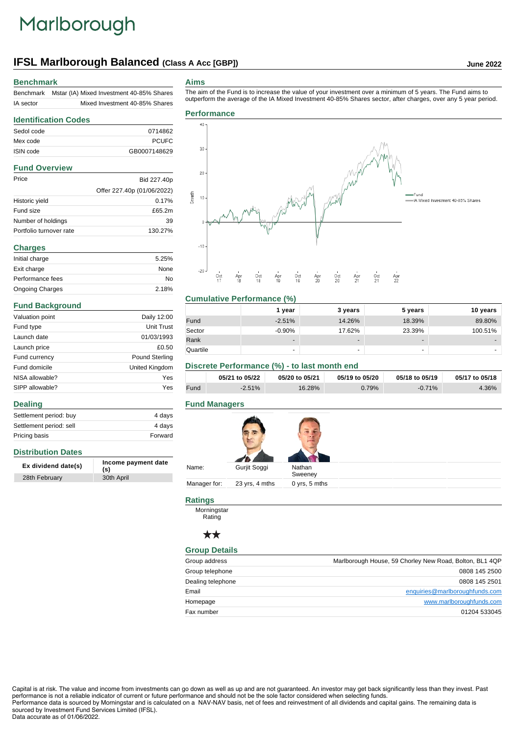# Marlborough

# **IFSL Marlborough Balanced (Class A Acc [GBP]) June 2022**

#### **Benchmark**

| <b>Benchmark</b> | Mstar (IA) Mixed Investment 40-85% Shares |
|------------------|-------------------------------------------|
| IA sector        | Mixed Investment 40-85% Shares            |

#### **Aims**

The aim of the Fund is to increase the value of your investment over a minimum of 5 years. The Fund aims to outperform the average of the IA Mixed Investment 40-85% Shares sector, after charges, over any 5 year period.

### **Identification Codes** Sedol code 0714862 Mex code PCUFC ISIN code GB0007148629

#### **Fund Overview**

| Price                   | Bid 227.40p                |
|-------------------------|----------------------------|
|                         | Offer 227.40p (01/06/2022) |
| Historic yield          | 0.17%                      |
| Fund size               | £65.2m                     |
| Number of holdings      | 39                         |
| Portfolio turnover rate | 130 27%                    |

| <b>Charges</b>         |       |
|------------------------|-------|
| Initial charge         | 5.25% |
| Exit charge            | None  |
| Performance fees       | No    |
| <b>Ongoing Charges</b> | 2.18% |

#### **Fund Background**

**Distribution Dates**

**Dealing**

| Valuation point | Daily 12:00           |
|-----------------|-----------------------|
| Fund type       | <b>Unit Trust</b>     |
| Launch date     | 01/03/1993            |
| Launch price    | £0.50                 |
| Fund currency   | <b>Pound Sterling</b> |
| Fund domicile   | United Kingdom        |
| NISA allowable? | Yes                   |
| SIPP allowable? | Yes                   |

Settlement period: buy 4 days Settlement period: sell 4 days Pricing basis **Forward** 

**Ex dividend date(s) Income payment date (s)**

28th February 30th April

**Performance**



#### **Cumulative Performance (%)**

|          | 1 year                   | 3 years | 5 years                  | 10 years |
|----------|--------------------------|---------|--------------------------|----------|
| Fund     | $-2.51%$                 | 14.26%  | 18.39%                   | 89.80%   |
| Sector   | $-0.90%$                 | 17.62%  | 23.39%                   | 100.51%  |
| Rank     | $\overline{\phantom{0}}$ | -       | $\overline{\phantom{0}}$ |          |
| Quartile |                          | -       | $\overline{\phantom{a}}$ |          |

#### **Discrete Performance (%) - to last month end**

|      | 05/21 to 05/22 | 05/20 to 05/21 | 05/19 to 05/20 | 05/18 to 05/19 | 05/17 to 05/18 |
|------|----------------|----------------|----------------|----------------|----------------|
| Fund | $-2.51%$       | 16.28%         | 0.79%          | $-0.71%$       | 4.36%          |

#### **Fund Managers**

| Name:        | Gurjit Soggi   | Nathan<br>Sweeney |
|--------------|----------------|-------------------|
| Manager for: | 23 yrs, 4 mths | 0 yrs, 5 mths     |

### **Ratings**

**Morningstar** Rating

#### $\star\star$

#### **Group Details**

| Group address     | Marlborough House, 59 Chorley New Road, Bolton, BL1 4QP |
|-------------------|---------------------------------------------------------|
| Group telephone   | 0808 145 2500                                           |
| Dealing telephone | 0808 145 2501                                           |
| Email             | enquiries@marlboroughfunds.com                          |
| Homepage          | www.marlboroughfunds.com                                |
| Fax number        | 01204 533045                                            |

Capital is at risk. The value and income from investments can go down as well as up and are not guaranteed. An investor may get back significantly less than they invest. Past performance is not a reliable indicator of current or future performance and should not be the sole factor considered when selecting funds. Performance data is sourced by Morningstar and is calculated on a NAV-NAV basis, net of fees and reinvestment of all dividends and capital gains. The remaining data is sourced by Investment Fund Services Limited (IFSL). Data accurate as of 01/06/2022.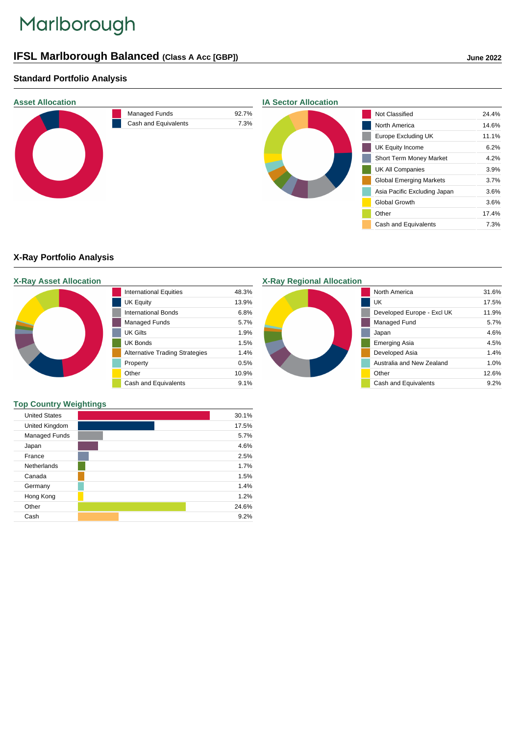# Marlborough

# **IFSL Marlborough Balanced (Class A Acc [GBP]) June 2022**

## **Standard Portfolio Analysis**



### **X-Ray Portfolio Analysis**

|  | <b>X-Ray Asset Allocation</b> |
|--|-------------------------------|
|  |                               |

| <b>International Equities</b>         | 48.3% |
|---------------------------------------|-------|
| <b>UK Equity</b>                      | 13.9% |
| <b>International Bonds</b>            | 6.8%  |
| Managed Funds                         | 5.7%  |
| UK Gilts                              | 1.9%  |
| <b>UK Bonds</b>                       | 1.5%  |
| <b>Alternative Trading Strategies</b> | 1.4%  |
| Property                              | 0.5%  |
| Other                                 | 10.9% |
| Cash and Equivalents                  | 9.1%  |

# **X-Ray Regional Allocation**



#### **Top Country Weightings**

| <b>United States</b> |  | 30.1% |
|----------------------|--|-------|
| United Kingdom       |  | 17.5% |
| Managed Funds        |  | 5.7%  |
| Japan                |  | 4.6%  |
| France               |  | 2.5%  |
| <b>Netherlands</b>   |  | 1.7%  |
| Canada               |  | 1.5%  |
| Germany              |  | 1.4%  |
| Hong Kong            |  | 1.2%  |
| Other                |  | 24.6% |
| Cash                 |  | 9.2%  |

π